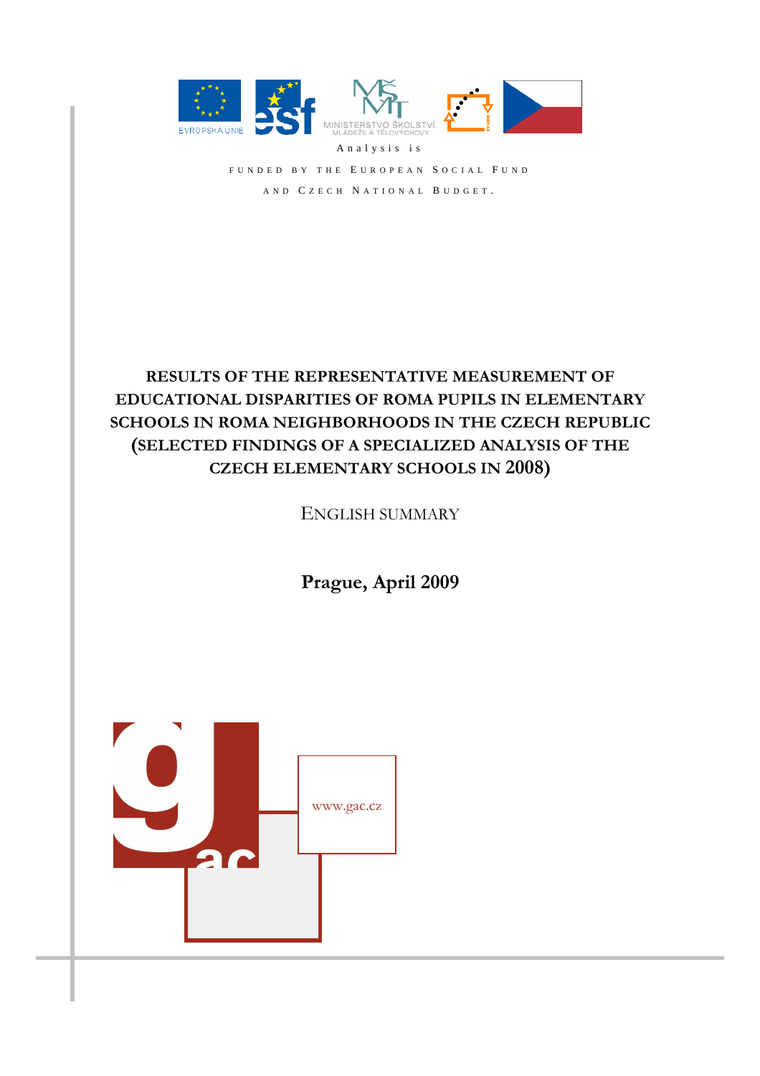

FUNDED BY THE EUROPEAN SOCIAL FUND AND CZECH NATIONAL BUDGET.

# **RESULTS OF THE REPRESENTATIVE MEASUREMENT OF EDUCATIONAL DISPARITIES OF ROMA PUPILS IN ELEMENTARY SCHOOLS IN ROMA NEIGHBORHOODS IN THE CZECH REPUBLIC (SELECTED FINDINGS OF A SPECIALIZED ANALYSIS OF THE CZECH ELEMENTARY SCHOOLS IN 2008)**

ENGLISH SUMMARY

**Prague, April 2009** 

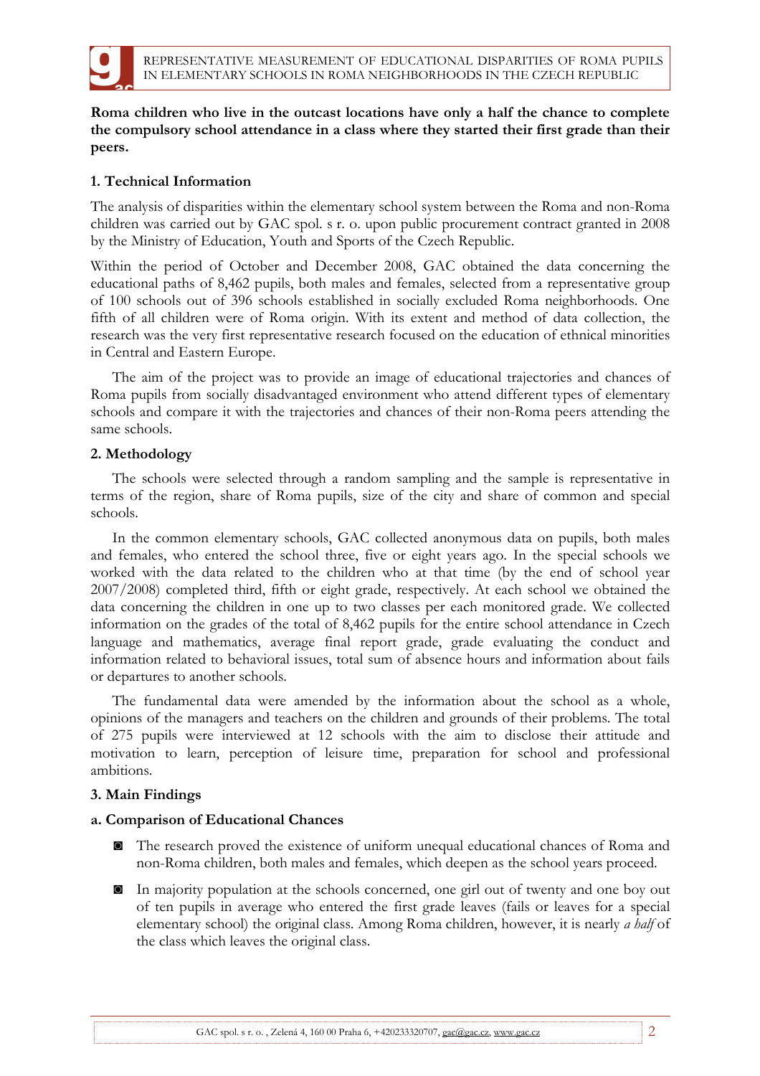

**Roma children who live in the outcast locations have only a half the chance to complete the compulsory school attendance in a class where they started their first grade than their peers.** 

## **1. Technical Information**

The analysis of disparities within the elementary school system between the Roma and non-Roma children was carried out by GAC spol. s r. o. upon public procurement contract granted in 2008 by the Ministry of Education, Youth and Sports of the Czech Republic.

Within the period of October and December 2008, GAC obtained the data concerning the educational paths of 8,462 pupils, both males and females, selected from a representative group of 100 schools out of 396 schools established in socially excluded Roma neighborhoods. One fifth of all children were of Roma origin. With its extent and method of data collection, the research was the very first representative research focused on the education of ethnical minorities in Central and Eastern Europe.

The aim of the project was to provide an image of educational trajectories and chances of Roma pupils from socially disadvantaged environment who attend different types of elementary schools and compare it with the trajectories and chances of their non-Roma peers attending the same schools.

#### **2. Methodology**

The schools were selected through a random sampling and the sample is representative in terms of the region, share of Roma pupils, size of the city and share of common and special schools.

In the common elementary schools, GAC collected anonymous data on pupils, both males and females, who entered the school three, five or eight years ago. In the special schools we worked with the data related to the children who at that time (by the end of school year 2007/2008) completed third, fifth or eight grade, respectively. At each school we obtained the data concerning the children in one up to two classes per each monitored grade. We collected information on the grades of the total of 8,462 pupils for the entire school attendance in Czech language and mathematics, average final report grade, grade evaluating the conduct and information related to behavioral issues, total sum of absence hours and information about fails or departures to another schools.

The fundamental data were amended by the information about the school as a whole, opinions of the managers and teachers on the children and grounds of their problems. The total of 275 pupils were interviewed at 12 schools with the aim to disclose their attitude and motivation to learn, perception of leisure time, preparation for school and professional ambitions.

#### **3. Main Findings**

#### **a. Comparison of Educational Chances**

- ◙ The research proved the existence of uniform unequal educational chances of Roma and non-Roma children, both males and females, which deepen as the school years proceed.
- ◙ In majority population at the schools concerned, one girl out of twenty and one boy out of ten pupils in average who entered the first grade leaves (fails or leaves for a special elementary school) the original class. Among Roma children, however, it is nearly *a half* of the class which leaves the original class.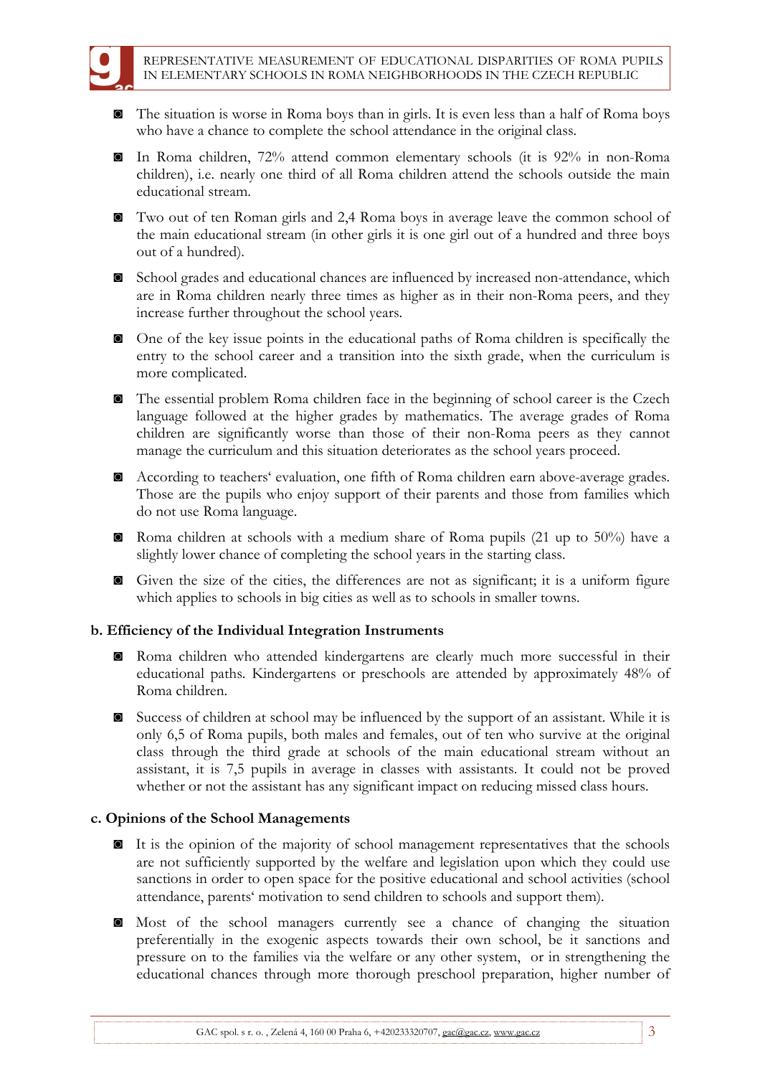- ◙ The situation is worse in Roma boys than in girls. It is even less than a half of Roma boys who have a chance to complete the school attendance in the original class.
- ◙ In Roma children, 72% attend common elementary schools (it is 92% in non-Roma children), i.e. nearly one third of all Roma children attend the schools outside the main educational stream.
- ◙ Two out of ten Roman girls and 2,4 Roma boys in average leave the common school of the main educational stream (in other girls it is one girl out of a hundred and three boys out of a hundred).
- ◙ School grades and educational chances are influenced by increased non-attendance, which are in Roma children nearly three times as higher as in their non-Roma peers, and they increase further throughout the school years.
- ◙ One of the key issue points in the educational paths of Roma children is specifically the entry to the school career and a transition into the sixth grade, when the curriculum is more complicated.
- ◙ The essential problem Roma children face in the beginning of school career is the Czech language followed at the higher grades by mathematics. The average grades of Roma children are significantly worse than those of their non-Roma peers as they cannot manage the curriculum and this situation deteriorates as the school years proceed.
- ◙ According to teachers' evaluation, one fifth of Roma children earn above-average grades. Those are the pupils who enjoy support of their parents and those from families which do not use Roma language.
- ◙ Roma children at schools with a medium share of Roma pupils (21 up to 50%) have a slightly lower chance of completing the school years in the starting class.
- ◙ Given the size of the cities, the differences are not as significant; it is a uniform figure which applies to schools in big cities as well as to schools in smaller towns.

# **b. Efficiency of the Individual Integration Instruments**

- ◙ Roma children who attended kindergartens are clearly much more successful in their educational paths. Kindergartens or preschools are attended by approximately 48% of Roma children.
- ◙ Success of children at school may be influenced by the support of an assistant. While it is only 6,5 of Roma pupils, both males and females, out of ten who survive at the original class through the third grade at schools of the main educational stream without an assistant, it is 7,5 pupils in average in classes with assistants. It could not be proved whether or not the assistant has any significant impact on reducing missed class hours.

#### **c. Opinions of the School Managements**

- ◙ It is the opinion of the majority of school management representatives that the schools are not sufficiently supported by the welfare and legislation upon which they could use sanctions in order to open space for the positive educational and school activities (school attendance, parents' motivation to send children to schools and support them).
- ◙ Most of the school managers currently see a chance of changing the situation preferentially in the exogenic aspects towards their own school, be it sanctions and pressure on to the families via the welfare or any other system, or in strengthening the educational chances through more thorough preschool preparation, higher number of

GAC spol. s r. o., Zelená 4, 160 00 Praha 6,  $+420233320707$ , gac@gac.cz, www.gac.cz 3